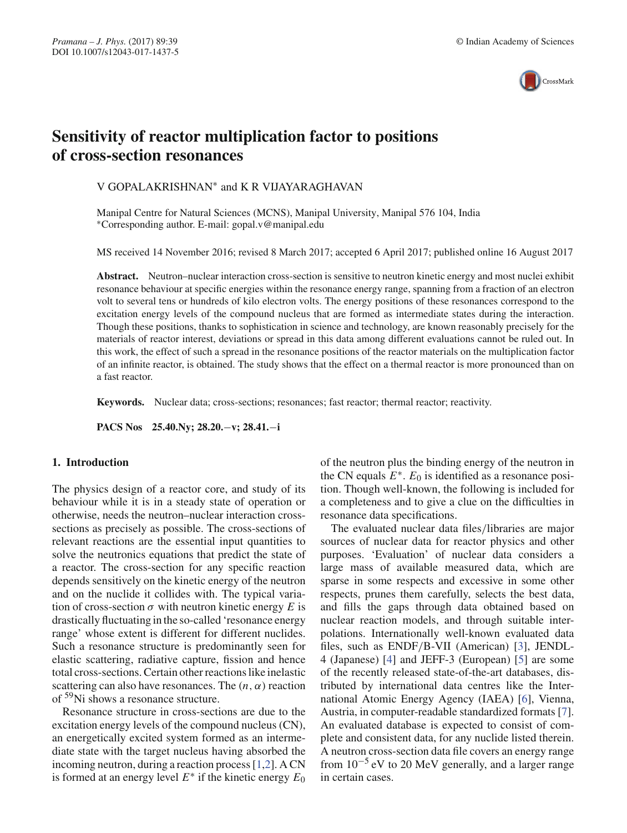

# **Sensitivity of reactor multiplication factor to positions of cross-section resonances**

V GOPALAKRISHNAN∗ and K R VIJAYARAGHAVAN

Manipal Centre for Natural Sciences (MCNS), Manipal University, Manipal 576 104, India ∗Corresponding author. E-mail: gopal.v@manipal.edu

MS received 14 November 2016; revised 8 March 2017; accepted 6 April 2017; published online 16 August 2017

**Abstract.** Neutron–nuclear interaction cross-section is sensitive to neutron kinetic energy and most nuclei exhibit resonance behaviour at specific energies within the resonance energy range, spanning from a fraction of an electron volt to several tens or hundreds of kilo electron volts. The energy positions of these resonances correspond to the excitation energy levels of the compound nucleus that are formed as intermediate states during the interaction. Though these positions, thanks to sophistication in science and technology, are known reasonably precisely for the materials of reactor interest, deviations or spread in this data among different evaluations cannot be ruled out. In this work, the effect of such a spread in the resonance positions of the reactor materials on the multiplication factor of an infinite reactor, is obtained. The study shows that the effect on a thermal reactor is more pronounced than on a fast reactor.

**Keywords.** Nuclear data; cross-sections; resonances; fast reactor; thermal reactor; reactivity.

**PACS Nos 25.40.Ny; 28.20.**−**v; 28.41.**−**i**

#### **1. Introduction**

The physics design of a reactor core, and study of its behaviour while it is in a steady state of operation or otherwise, needs the neutron–nuclear interaction crosssections as precisely as possible. The cross-sections of relevant reactions are the essential input quantities to solve the neutronics equations that predict the state of a reactor. The cross-section for any specific reaction depends sensitively on the kinetic energy of the neutron and on the nuclide it collides with. The typical variation of cross-section  $\sigma$  with neutron kinetic energy *E* is drastically fluctuating in the so-called 'resonance energy range' whose extent is different for different nuclides. Such a resonance structure is predominantly seen for elastic scattering, radiative capture, fission and hence total cross-sections. Certain other reactions like inelastic scattering can also have resonances. The  $(n, \alpha)$  reaction of <sup>59</sup>Ni shows a resonance structure.

Resonance structure in cross-sections are due to the excitation energy levels of the compound nucleus (CN), an energetically excited system formed as an intermediate state with the target nucleus having absorbed the incoming neutron, during a reaction process [1,2]. A CN is formed at an energy level  $E^*$  if the kinetic energy  $E_0$  of the neutron plus the binding energy of the neutron in the CN equals  $E^*$ .  $E_0$  is identified as a resonance position. Though well-known, the following is included for a completeness and to give a clue on the difficulties in resonance data specifications.

The evaluated nuclear data files/libraries are major sources of nuclear data for reactor physics and other purposes. 'Evaluation' of nuclear data considers a large mass of available measured data, which are sparse in some respects and excessive in some other respects, prunes them carefully, selects the best data, and fills the gaps through data obtained based on nuclear reaction models, and through suitable interpolations. Internationally well-known evaluated data files, such as ENDF/B-VII (American) [3], JENDL-4 (Japanese) [4] and JEFF-3 (European) [5] are some of the recently released state-of-the-art databases, distributed by international data centres like the International Atomic Energy Agency (IAEA) [6], Vienna, Austria, in computer-readable standardized formats [7]. An evaluated database is expected to consist of complete and consistent data, for any nuclide listed therein. A neutron cross-section data file covers an energy range from  $10^{-5}$  eV to 20 MeV generally, and a larger range in certain cases.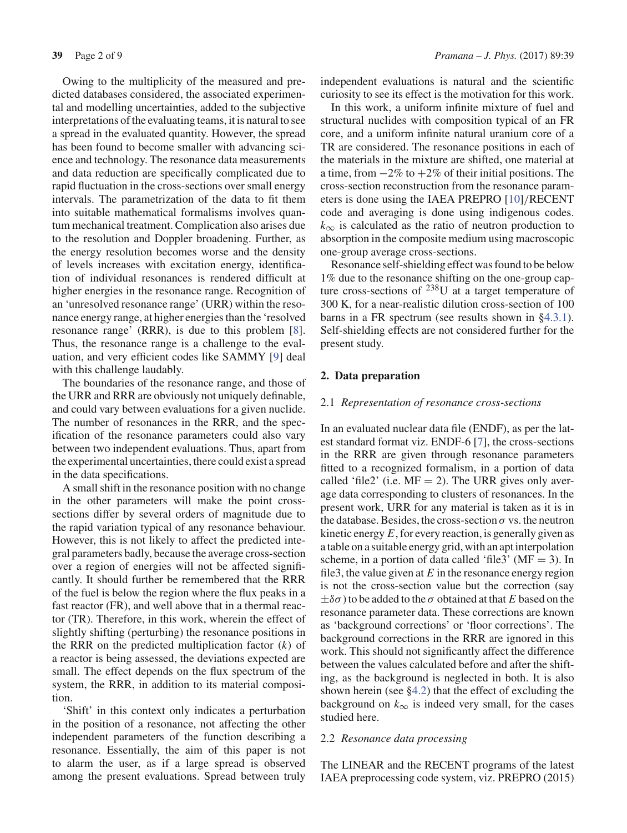Owing to the multiplicity of the measured and predicted databases considered, the associated experimental and modelling uncertainties, added to the subjective interpretations of the evaluating teams, it is natural to see a spread in the evaluated quantity. However, the spread has been found to become smaller with advancing science and technology. The resonance data measurements and data reduction are specifically complicated due to rapid fluctuation in the cross-sections over small energy intervals. The parametrization of the data to fit them into suitable mathematical formalisms involves quantum mechanical treatment. Complication also arises due to the resolution and Doppler broadening. Further, as the energy resolution becomes worse and the density of levels increases with excitation energy, identification of individual resonances is rendered difficult at higher energies in the resonance range. Recognition of an 'unresolved resonance range' (URR) within the resonance energy range, at higher energies than the 'resolved resonance range' (RRR), is due to this problem [8]. Thus, the resonance range is a challenge to the evaluation, and very efficient codes like SAMMY [9] deal with this challenge laudably.

The boundaries of the resonance range, and those of the URR and RRR are obviously not uniquely definable, and could vary between evaluations for a given nuclide. The number of resonances in the RRR, and the specification of the resonance parameters could also vary between two independent evaluations. Thus, apart from the experimental uncertainties, there could exist a spread in the data specifications.

A small shift in the resonance position with no change in the other parameters will make the point crosssections differ by several orders of magnitude due to the rapid variation typical of any resonance behaviour. However, this is not likely to affect the predicted integral parameters badly, because the average cross-section over a region of energies will not be affected significantly. It should further be remembered that the RRR of the fuel is below the region where the flux peaks in a fast reactor (FR), and well above that in a thermal reactor (TR). Therefore, in this work, wherein the effect of slightly shifting (perturbing) the resonance positions in the RRR on the predicted multiplication factor (*k*) of a reactor is being assessed, the deviations expected are small. The effect depends on the flux spectrum of the system, the RRR, in addition to its material composition.

'Shift' in this context only indicates a perturbation in the position of a resonance, not affecting the other independent parameters of the function describing a resonance. Essentially, the aim of this paper is not to alarm the user, as if a large spread is observed among the present evaluations. Spread between truly

independent evaluations is natural and the scientific curiosity to see its effect is the motivation for this work.

In this work, a uniform infinite mixture of fuel and structural nuclides with composition typical of an FR core, and a uniform infinite natural uranium core of a TR are considered. The resonance positions in each of the materials in the mixture are shifted, one material at a time, from  $-2\%$  to  $+2\%$  of their initial positions. The cross-section reconstruction from the resonance parameters is done using the IAEA PREPRO [10]/RECENT code and averaging is done using indigenous codes.  $k_{\infty}$  is calculated as the ratio of neutron production to absorption in the composite medium using macroscopic one-group average cross-sections.

Resonance self-shielding effect was found to be below 1% due to the resonance shifting on the one-group capture cross-sections of 238U at a target temperature of 300 K, for a near-realistic dilution cross-section of 100 barns in a FR spectrum (see results shown in §4.3.1). Self-shielding effects are not considered further for the present study.

#### **2. Data preparation**

#### 2.1 *Representation of resonance cross-sections*

In an evaluated nuclear data file (ENDF), as per the latest standard format viz. ENDF-6 [7], the cross-sections in the RRR are given through resonance parameters fitted to a recognized formalism, in a portion of data called 'file2' (i.e.  $MF = 2$ ). The URR gives only average data corresponding to clusters of resonances. In the present work, URR for any material is taken as it is in the database. Besides, the cross-section  $\sigma$  vs. the neutron kinetic energy *E*, for every reaction, is generally given as a table on a suitable energy grid, with an apt interpolation scheme, in a portion of data called 'file3' ( $MF = 3$ ). In file3, the value given at *E* in the resonance energy region is not the cross-section value but the correction (say  $\pm \delta \sigma$ ) to be added to the  $\sigma$  obtained at that *E* based on the resonance parameter data. These corrections are known as 'background corrections' or 'floor corrections'. The background corrections in the RRR are ignored in this work. This should not significantly affect the difference between the values calculated before and after the shifting, as the background is neglected in both. It is also shown herein (see §4.2) that the effect of excluding the background on  $k_{\infty}$  is indeed very small, for the cases studied here.

#### 2.2 *Resonance data processing*

The LINEAR and the RECENT programs of the latest IAEA preprocessing code system, viz. PREPRO (2015)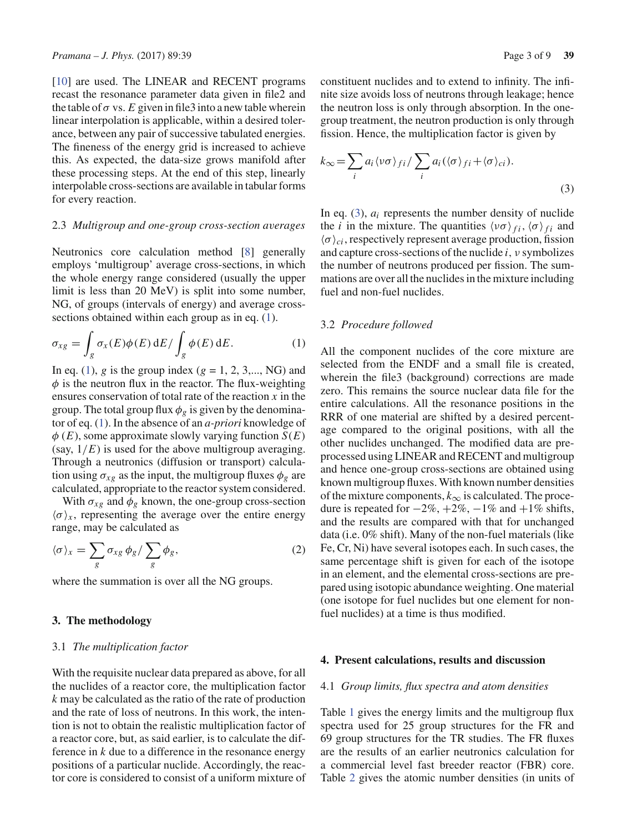[10] are used. The LINEAR and RECENT programs recast the resonance parameter data given in file2 and the table of  $\sigma$  vs. *E* given in file3 into a new table wherein linear interpolation is applicable, within a desired tolerance, between any pair of successive tabulated energies. The fineness of the energy grid is increased to achieve this. As expected, the data-size grows manifold after these processing steps. At the end of this step, linearly interpolable cross-sections are available in tabular forms for every reaction.

#### 2.3 *Multigroup and one-group cross-section averages*

Neutronics core calculation method [8] generally employs 'multigroup' average cross-sections, in which the whole energy range considered (usually the upper limit is less than 20 MeV) is split into some number, NG, of groups (intervals of energy) and average crosssections obtained within each group as in eq. (1).

$$
\sigma_{xg} = \int_{g} \sigma_{x}(E)\phi(E) \,dE / \int_{g} \phi(E) \,dE. \tag{1}
$$

In eq. (1), *g* is the group index ( $g = 1, 2, 3,...$ , NG) and  $\phi$  is the neutron flux in the reactor. The flux-weighting ensures conservation of total rate of the reaction *x* in the group. The total group flux  $\phi_g$  is given by the denominator of eq. (1). In the absence of an *a-priori* knowledge of  $\phi$  (*E*), some approximate slowly varying function *S*(*E*) (say,  $1/E$ ) is used for the above multigroup averaging. Through a neutronics (diffusion or transport) calculation using  $\sigma_{xg}$  as the input, the multigroup fluxes  $\phi_g$  are calculated, appropriate to the reactor system considered.

With  $\sigma_{xg}$  and  $\phi_g$  known, the one-group cross-section  $\langle \sigma \rangle_x$ , representing the average over the entire energy range, may be calculated as

$$
\langle \sigma \rangle_x = \sum_g \sigma_{xg} \phi_g / \sum_g \phi_g, \tag{2}
$$

where the summation is over all the NG groups.

#### **3. The methodology**

#### 3.1 *The multiplication factor*

With the requisite nuclear data prepared as above, for all the nuclides of a reactor core, the multiplication factor *k* may be calculated as the ratio of the rate of production and the rate of loss of neutrons. In this work, the intention is not to obtain the realistic multiplication factor of a reactor core, but, as said earlier, is to calculate the difference in *k* due to a difference in the resonance energy positions of a particular nuclide. Accordingly, the reactor core is considered to consist of a uniform mixture of constituent nuclides and to extend to infinity. The infinite size avoids loss of neutrons through leakage; hence the neutron loss is only through absorption. In the onegroup treatment, the neutron production is only through fission. Hence, the multiplication factor is given by

$$
k_{\infty} = \sum_{i} a_{i} \langle v \sigma \rangle_{fi} / \sum_{i} a_{i} (\langle \sigma \rangle_{fi} + \langle \sigma \rangle_{ci}).
$$
\n(3)

In eq. (3), *ai* represents the number density of nuclide the *i* in the mixture. The quantities  $\langle v\sigma \rangle_{fi}$ ,  $\langle \sigma \rangle_{fi}$  and  $\langle \sigma \rangle_{ci}$ , respectively represent average production, fission and capture cross-sections of the nuclide *i*, ν symbolizes the number of neutrons produced per fission. The summations are over all the nuclides in the mixture including fuel and non-fuel nuclides.

#### 3.2 *Procedure followed*

All the component nuclides of the core mixture are selected from the ENDF and a small file is created, wherein the file3 (background) corrections are made zero. This remains the source nuclear data file for the entire calculations. All the resonance positions in the RRR of one material are shifted by a desired percentage compared to the original positions, with all the other nuclides unchanged. The modified data are preprocessed using LINEAR and RECENT and multigroup and hence one-group cross-sections are obtained using known multigroup fluxes. With known number densities of the mixture components,  $k_{\infty}$  is calculated. The procedure is repeated for  $-2\%, +2\%, -1\%$  and  $+1\%$  shifts, and the results are compared with that for unchanged data (i.e. 0% shift). Many of the non-fuel materials (like Fe, Cr, Ni) have several isotopes each. In such cases, the same percentage shift is given for each of the isotope in an element, and the elemental cross-sections are prepared using isotopic abundance weighting. One material (one isotope for fuel nuclides but one element for nonfuel nuclides) at a time is thus modified.

#### **4. Present calculations, results and discussion**

#### 4.1 *Group limits, flux spectra and atom densities*

Table 1 gives the energy limits and the multigroup flux spectra used for 25 group structures for the FR and 69 group structures for the TR studies. The FR fluxes are the results of an earlier neutronics calculation for a commercial level fast breeder reactor (FBR) core. Table 2 gives the atomic number densities (in units of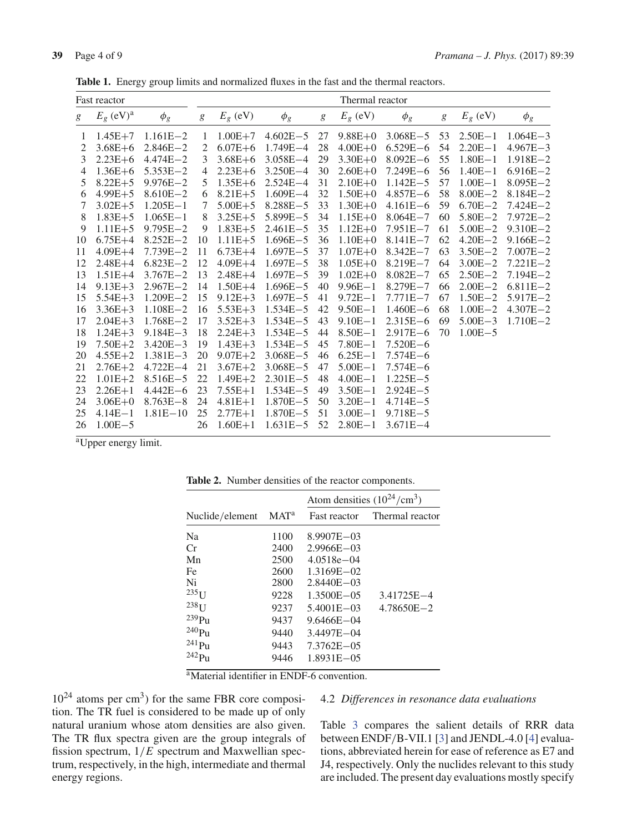|                | Fast reactor            |              |                |             |              |    | Thermal reactor |              |    |             |              |
|----------------|-------------------------|--------------|----------------|-------------|--------------|----|-----------------|--------------|----|-------------|--------------|
| g              | $E_g$ (eV) <sup>a</sup> | $\phi_{g}$   | g              | $E_g$ (eV)  | $\phi_g$     | g  | $E_g$ (eV)      | $\phi_g$     | g  | $E_g$ (eV)  | $\phi_{g}$   |
| 1              | $1.45E + 7$             | $1.161E - 2$ | 1              | $1.00E + 7$ | $4.602E - 5$ | 27 | $9.88E + 0$     | $3.068E - 5$ | 53 | $2.50E - 1$ | $1.064E - 3$ |
| $\overline{2}$ | $3.68E + 6$             | $2.846E - 2$ | $\overline{2}$ | $6.07E + 6$ | $1.749E - 4$ | 28 | $4.00E + 0$     | $6.529E - 6$ | 54 | $2.20E - 1$ | $4.967E - 3$ |
| 3              | $2.23E + 6$             | $4.474E - 2$ | 3              | $3.68E + 6$ | $3.058E - 4$ | 29 | $3.30E + 0$     | $8.092E - 6$ | 55 | $1.80E - 1$ | $1.918E - 2$ |
| 4              | $1.36E + 6$             | $5.353E - 2$ | $\overline{4}$ | $2.23E + 6$ | $3.250E - 4$ | 30 | $2.60E + 0$     | $7.249E - 6$ | 56 | $1.40E - 1$ | $6.916E - 2$ |
| 5              | $8.22E + 5$             | $9.976E - 2$ | 5              | $1.35E + 6$ | $2.524E - 4$ | 31 | $2.10E + 0$     | $1.142E - 5$ | 57 | $1.00E - 1$ | $8.095E - 2$ |
| 6              | $4.99E + 5$             | $8.610E - 2$ | 6              | $8.21E + 5$ | $1.609E - 4$ | 32 | $1.50E + 0$     | $4.857E - 6$ | 58 | $8.00E - 2$ | $8.184E - 2$ |
| 7              | $3.02E + 5$             | $1.205E - 1$ | 7              | $5.00E + 5$ | $8.288E - 5$ | 33 | $1.30E + 0$     | $4.161E - 6$ | 59 | $6.70E - 2$ | $7.424E - 2$ |
| 8              | $1.83E + 5$             | $1.065E - 1$ | 8              | $3.25E + 5$ | $5.899E - 5$ | 34 | $1.15E + 0$     | $8.064E - 7$ | 60 | $5.80E - 2$ | $7.972E - 2$ |
| 9              | $1.11E + 5$             | $9.795E - 2$ | 9              | $1.83E + 5$ | $2.461E - 5$ | 35 | $1.12E + 0$     | $7.951E - 7$ | 61 | $5.00E - 2$ | $9.310E - 2$ |
| 10             | $6.75E+4$               | $8.252E - 2$ | 10             | $1.11E + 5$ | $1.696E - 5$ | 36 | $1.10E + 0$     | $8.141E - 7$ | 62 | $4.20E - 2$ | $9.166E - 2$ |
| 11             | $4.09E + 4$             | $7.739E - 2$ | 11             | $6.73E+4$   | $1.697E - 5$ | 37 | $1.07E + 0$     | $8.342E - 7$ | 63 | $3.50E - 2$ | $7.007E - 2$ |
| 12             | $2.48E + 4$             | $6.823E - 2$ | 12             | $4.09E + 4$ | $1.697E - 5$ | 38 | $1.05E + 0$     | $8.219E - 7$ | 64 | $3.00E - 2$ | $7.221E - 2$ |
| 13             | $1.51E + 4$             | $3.767E - 2$ | 13             | $2.48E + 4$ | $1.697E - 5$ | 39 | $1.02E + 0$     | $8.082E - 7$ | 65 | $2.50E - 2$ | $7.194E - 2$ |
| 14             | $9.13E + 3$             | $2.967E - 2$ | 14             | $1.50E + 4$ | $1.696E - 5$ | 40 | $9.96E - 1$     | $8.279E - 7$ | 66 | $2.00E - 2$ | $6.811E - 2$ |
| 15             | $5.54E + 3$             | $1.209E - 2$ | 15             | $9.12E + 3$ | $1.697E - 5$ | 41 | $9.72E - 1$     | $7.771E - 7$ | 67 | $1.50E - 2$ | $5.917E - 2$ |
| 16             | $3.36E + 3$             | $1.108E - 2$ | 16             | $5.53E + 3$ | $1.534E - 5$ | 42 | $9.50E - 1$     | $1.460E - 6$ | 68 | $1.00E - 2$ | $4.307E - 2$ |
| 17             | $2.04E + 3$             | $1.768E - 2$ | 17             | $3.52E + 3$ | $1.534E - 5$ | 43 | $9.10E - 1$     | $2.315E - 6$ | 69 | $5.00E - 3$ | $1.710E - 2$ |
| 18             | $1.24E + 3$             | $9.184E - 3$ | 18             | $2.24E + 3$ | $1.534E - 5$ | 44 | $8.50E - 1$     | $2.917E - 6$ | 70 | $1.00E - 5$ |              |
| 19             | $7.50E + 2$             | $3.420E - 3$ | 19             | $1.43E + 3$ | $1.534E - 5$ | 45 | $7.80E - 1$     | $7.520E - 6$ |    |             |              |
| 20             | $4.55E + 2$             | $1.381E - 3$ | 20             | $9.07E + 2$ | $3.068E - 5$ | 46 | $6.25E - 1$     | $7.574E - 6$ |    |             |              |
| 21             | $2.76E + 2$             | $4.722E - 4$ | 21             | $3.67E + 2$ | $3.068E - 5$ | 47 | $5.00E - 1$     | $7.574E - 6$ |    |             |              |
| 22             | $1.01E + 2$             | $8.516E - 5$ | 22             | $1.49E + 2$ | $2.301E - 5$ | 48 | $4.00E - 1$     | $1.225E - 5$ |    |             |              |
| 23             | $2.26E+1$               | $4.442E - 6$ | 23             | $7.55E+1$   | $1.534E - 5$ | 49 | $3.50E - 1$     | $2.924E - 5$ |    |             |              |
| 24             | $3.06E + 0$             | $8.763E - 8$ | 24             | $4.81E + 1$ | $1.870E - 5$ | 50 | $3.20E - 1$     | $4.714E - 5$ |    |             |              |
| 25             | $4.14E - 1$             | $1.81E - 10$ | 25             | $2.77E + 1$ | $1.870E - 5$ | 51 | $3.00E - 1$     | $9.718E - 5$ |    |             |              |
| 26             | $1.00E - 5$             |              | 26             | $1.60E + 1$ | $1.631E - 5$ | 52 | $2.80E - 1$     | $3.671E - 4$ |    |             |              |

**Table 1.** Energy group limits and normalized fluxes in the fast and the thermal reactors.

<sup>a</sup>Upper energy limit.

**Table 2.** Number densities of the reactor components.

|                      |                  | Atom densities $(10^{24}/\text{cm}^3)$ |                 |  |  |  |
|----------------------|------------------|----------------------------------------|-----------------|--|--|--|
| Nuclide/element      | MAT <sup>a</sup> | <b>Fast reactor</b>                    | Thermal reactor |  |  |  |
| Na                   | 1100             | 8.9907E-03                             |                 |  |  |  |
| Cr                   | 2400             | $2.9966E - 03$                         |                 |  |  |  |
| Mn                   | 2500             | $4.0518e - 04$                         |                 |  |  |  |
| Fe                   | 2600             | $1.3169E - 02$                         |                 |  |  |  |
| Ni                   | 2800             | $2.8440E - 03$                         |                 |  |  |  |
| $235$ <sup>I</sup> J | 9228             | $1.3500E - 05$                         | 3.41725E-4      |  |  |  |
| $238$ <sup>I</sup>   | 9237             | $5.4001E - 03$                         | $4.78650E - 2$  |  |  |  |
| 239 <sub>Pu</sub>    | 9437             | $9.6466E - 04$                         |                 |  |  |  |
| $^{240}$ Pu          | 9440             | $3.4497E - 04$                         |                 |  |  |  |
| $^{241}$ Pu          | 9443             | $7.3762E - 0.5$                        |                 |  |  |  |
| $242$ Pu             | 9446             | $1.8931E - 0.5$                        |                 |  |  |  |

aMaterial identifier in ENDF-6 convention.

 $10^{24}$  atoms per cm<sup>3</sup>) for the same FBR core composition. The TR fuel is considered to be made up of only natural uranium whose atom densities are also given. The TR flux spectra given are the group integrals of fission spectrum, 1/*E* spectrum and Maxwellian spectrum, respectively, in the high, intermediate and thermal energy regions.

#### 4.2 *Differences in resonance data evaluations*

Table 3 compares the salient details of RRR data between ENDF/B-VII.1 [3] and JENDL-4.0 [4] evaluations, abbreviated herein for ease of reference as E7 and J4, respectively. Only the nuclides relevant to this study are included. The present day evaluations mostly specify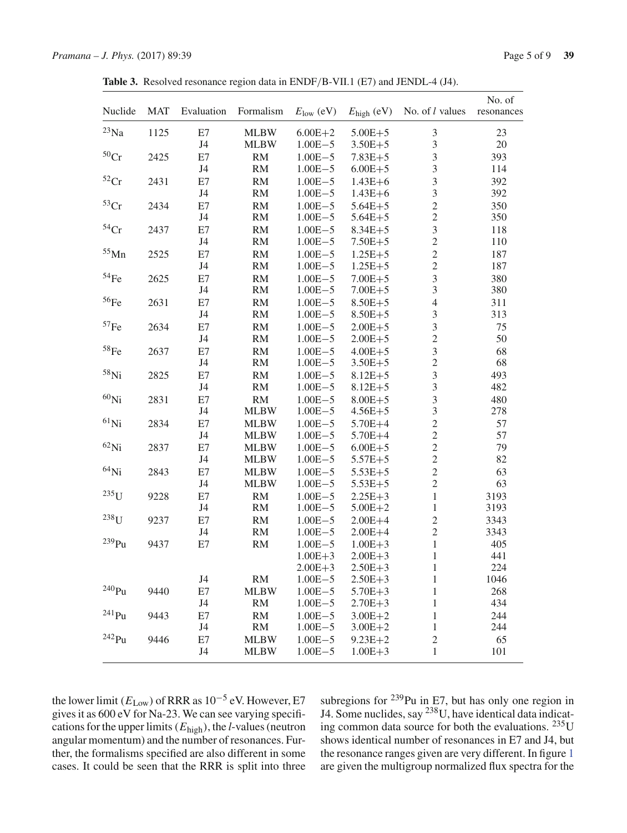|  |  | Table 3. Resolved resonance region data in ENDF/B-VII.1 (E7) and JENDL-4 (J4). |  |  |  |  |  |  |  |  |  |  |
|--|--|--------------------------------------------------------------------------------|--|--|--|--|--|--|--|--|--|--|
|--|--|--------------------------------------------------------------------------------|--|--|--|--|--|--|--|--|--|--|

| Nuclide            | <b>MAT</b> | Evaluation           | Formalism                | $E_{\text{low}}$ (eV)      | $E_{\text{high}}$ (eV)     | No. of <i>l</i> values                    | No. of<br>resonances |
|--------------------|------------|----------------------|--------------------------|----------------------------|----------------------------|-------------------------------------------|----------------------|
| $^{23}Na$          | 1125       | E7                   | <b>MLBW</b>              | $6.00E + 2$                | $5.00E + 5$                | 3                                         | 23                   |
|                    |            | J <sub>4</sub>       | <b>MLBW</b>              | $1.00E - 5$                | $3.50E + 5$                | 3                                         | 20                   |
| 50Cr               | 2425       | E7                   | RM                       | $1.00E - 5$                | $7.83E + 5$                | 3                                         | 393                  |
|                    |            | J4                   | <b>RM</b>                | $1.00E - 5$                | $6.00E + 5$                | 3                                         | 114                  |
| $52$ Cr            | 2431       | E7                   | <b>RM</b>                | $1.00E - 5$                | $1.43E + 6$                | 3                                         | 392                  |
|                    |            | J <sub>4</sub>       | <b>RM</b>                | $1.00E - 5$                | $1.43E + 6$                | 3                                         | 392                  |
| 53 <sub>Cr</sub>   | 2434       | E7                   | <b>RM</b>                | $1.00E - 5$                | $5.64E + 5$                | $\overline{c}$                            | 350                  |
|                    |            | J <sub>4</sub>       | <b>RM</b>                | $1.00E - 5$                | $5.64E + 5$                | $\overline{2}$                            | 350                  |
| $54$ Cr            | 2437       | E7                   | <b>RM</b>                | $1.00E - 5$                | $8.34E + 5$                | $\overline{\mathbf{3}}$                   | 118                  |
|                    |            | J4                   | <b>RM</b>                | $1.00E - 5$                | $7.50E + 5$                | $\sqrt{2}$                                | 110                  |
| $^{55}\mathrm{Mn}$ | 2525       | E7                   | <b>RM</b>                | $1.00E - 5$                | $1.25E + 5$                | $\overline{c}$                            | 187                  |
|                    |            | J <sub>4</sub>       | <b>RM</b>                | $1.00E - 5$                | $1.25E + 5$                | $\overline{2}$                            | 187                  |
| 54Fe               | 2625       | E7                   | <b>RM</b>                | $1.00E - 5$                | $7.00E + 5$                | 3                                         | 380                  |
| $^{56}\mathrm{Fe}$ |            | J <sub>4</sub>       | RM                       | $1.00E - 5$                | $7.00E + 5$                | 3                                         | 380                  |
|                    | 2631       | E7                   | <b>RM</b>                | $1.00E - 5$                | $8.50E + 5$                | $\overline{4}$                            | 311                  |
| 57Fe               |            | J4                   | <b>RM</b>                | $1.00E - 5$                | $8.50E + 5$                | 3                                         | 313                  |
|                    | 2634       | E7                   | <b>RM</b>                | $1.00E - 5$                | $2.00E + 5$                | 3<br>$\overline{c}$                       | 75                   |
| $^{58}\mathrm{Fe}$ |            | J <sub>4</sub>       | <b>RM</b>                | $1.00E - 5$                | $2.00E + 5$                |                                           | 50                   |
|                    | 2637       | E7<br>J <sub>4</sub> | <b>RM</b>                | $1.00E - 5$                | $4.00E + 5$                | $\overline{\mathbf{3}}$<br>$\overline{2}$ | 68<br>68             |
| $58$ Ni            |            |                      | <b>RM</b>                | $1.00E - 5$<br>$1.00E - 5$ | $3.50E + 5$                | $\overline{\mathbf{3}}$                   |                      |
|                    | 2825       | E7                   | <b>RM</b><br><b>RM</b>   |                            | $8.12E + 5$<br>$8.12E + 5$ | $\overline{3}$                            | 493                  |
| $60$ Ni            |            | J4                   |                          | $1.00E - 5$                |                            | 3                                         | 482                  |
|                    | 2831       | E7<br>J <sub>4</sub> | <b>RM</b><br><b>MLBW</b> | $1.00E - 5$<br>$1.00E - 5$ | $8.00E + 5$<br>$4.56E + 5$ | 3                                         | 480<br>278           |
| $61$ Ni            | 2834       | E7                   | <b>MLBW</b>              | $1.00E - 5$                | $5.70E + 4$                | $\overline{c}$                            | 57                   |
|                    |            | J4                   | <b>MLBW</b>              | $1.00E - 5$                | $5.70E + 4$                | $\overline{2}$                            | 57                   |
| ${}^{62}$ Ni       | 2837       | E7                   | <b>MLBW</b>              | $1.00E - 5$                | $6.00E + 5$                | $\overline{2}$                            | 79                   |
|                    |            | J4                   | <b>MLBW</b>              | $1.00E - 5$                | $5.57E + 5$                | $\overline{2}$                            | 82                   |
| $64$ Ni            | 2843       | E7                   | <b>MLBW</b>              | $1.00E - 5$                | $5.53E + 5$                | $\overline{c}$                            | 63                   |
|                    |            | J <sub>4</sub>       | <b>MLBW</b>              | $1.00E - 5$                | $5.53E + 5$                | $\overline{2}$                            | 63                   |
| $235$ U            | 9228       | E7                   | <b>RM</b>                | $1.00E - 5$                | $2.25E + 3$                | $\mathbf{1}$                              | 3193                 |
|                    |            | J <sub>4</sub>       | <b>RM</b>                | $1.00E - 5$                | $5.00E + 2$                | $\mathbf{1}$                              | 3193                 |
| $238$ U            | 9237       | E7                   | RM                       | $1.00E - 5$                | $2.00E + 4$                | $\overline{2}$                            | 3343                 |
|                    |            | J4                   | RM                       | $1.00E - 5$                | $2.00E + 4$                | $\overline{2}$                            | 3343                 |
| $239$ Pu           | 9437       | E7                   | <b>RM</b>                | $1.00E - 5$                | $1.00E + 3$                | 1                                         | 405                  |
|                    |            |                      |                          | $1.00E + 3$                | $2.00E + 3$                | 1                                         | 441                  |
|                    |            |                      |                          | $2.00E + 3$                | $2.50E + 3$                | 1                                         | 224                  |
|                    |            | J4                   | RM                       | $1.00E - 5$                | $2.50E + 3$                | 1                                         | 1046                 |
| $240$ Pu           | 9440       | E7                   | <b>MLBW</b>              | $1.00E - 5$                | $5.70E + 3$                | 1                                         | 268                  |
|                    |            | J <sub>4</sub>       | RM                       | $1.00E - 5$                | $2.70E + 3$                | 1                                         | 434                  |
| $^{241}Pu$         | 9443       | E7                   | RM                       | $1.00E - 5$                | $3.00E + 2$                | 1                                         | 244                  |
|                    |            | J <sub>4</sub>       | RM                       | $1.00E - 5$                | $3.00E + 2$                | $\mathbf{1}$                              | 244                  |
| $242$ Pu           | 9446       | E7                   | <b>MLBW</b>              | $1.00E - 5$                | $9.23E + 2$                | $\mathfrak{2}$                            | 65                   |
|                    |            | J <sub>4</sub>       | <b>MLBW</b>              | $1.00E - 5$                | $1.00E + 3$                | $\mathbf{1}$                              | 101                  |

the lower limit ( $E_{\text{Low}}$ ) of RRR as  $10^{-5}$  eV. However, E7 gives it as 600 eV for Na-23. We can see varying specifications for the upper limits(*E*high), the *l*-values (neutron angular momentum) and the number of resonances. Further, the formalisms specified are also different in some cases. It could be seen that the RRR is split into three

subregions for  $^{239}$ Pu in E7, but has only one region in J4. Some nuclides, say  $^{238}$ U, have identical data indicating common data source for both the evaluations. 235U shows identical number of resonances in E7 and J4, but the resonance ranges given are very different. In figure 1 are given the multigroup normalized flux spectra for the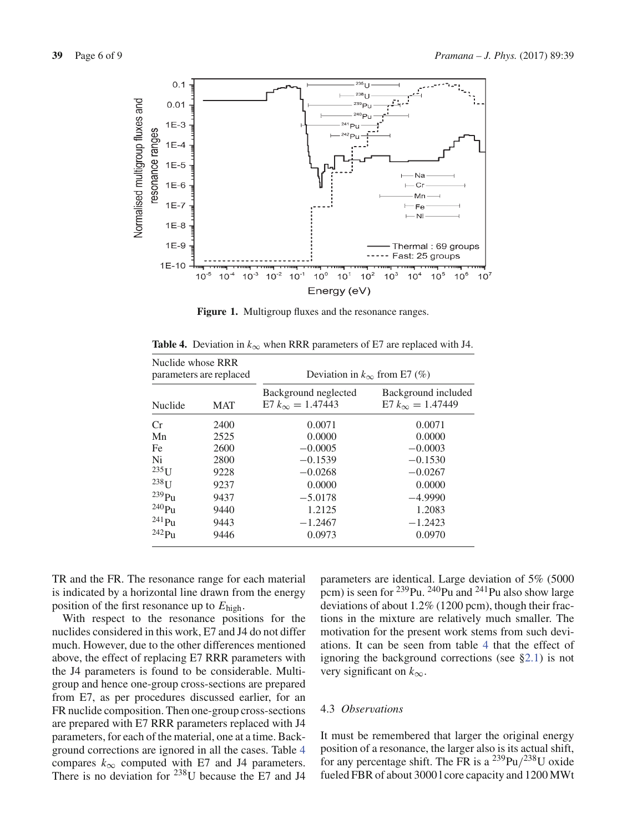

Figure 1. Multigroup fluxes and the resonance ranges.

| Nuclide whose RRR    | parameters are replaced | Deviation in $k_{\infty}$ from E7 (%)             |                                                  |  |  |  |
|----------------------|-------------------------|---------------------------------------------------|--------------------------------------------------|--|--|--|
| Nuclide              | MAT                     | Background neglected<br>E7 $k_{\infty} = 1.47443$ | Background included<br>$E7 k_{\infty} = 1.47449$ |  |  |  |
| Cr                   | 2400                    | 0.0071                                            | 0.0071                                           |  |  |  |
| Mn                   | 2525                    | 0.0000                                            | 0.0000                                           |  |  |  |
| Fe                   | 2600                    | $-0.0005$                                         | $-0.0003$                                        |  |  |  |
| Ni                   | 2800                    | $-0.1539$                                         | $-0.1530$                                        |  |  |  |
| $235$ <sub>I J</sub> | 9228                    | $-0.0268$                                         | $-0.0267$                                        |  |  |  |
| $238$ <sub>II</sub>  | 9237                    | 0.0000                                            | 0.0000                                           |  |  |  |
| $239$ Pu             | 9437                    | $-5.0178$                                         | $-4.9990$                                        |  |  |  |
| $240$ Pu             | 9440                    | 1.2125                                            | 1.2083                                           |  |  |  |
| $^{241}$ Pu          | 9443                    | $-1.2467$                                         | $-1.2423$                                        |  |  |  |
| $^{242}$ Pu          | 9446                    | 0.0973                                            | 0.0970                                           |  |  |  |

**Table 4.** Deviation in  $k_{\infty}$  when RRR parameters of E7 are replaced with J4.

TR and the FR. The resonance range for each material is indicated by a horizontal line drawn from the energy position of the first resonance up to *E*high.

With respect to the resonance positions for the nuclides considered in this work, E7 and J4 do not differ much. However, due to the other differences mentioned above, the effect of replacing E7 RRR parameters with the J4 parameters is found to be considerable. Multigroup and hence one-group cross-sections are prepared from E7, as per procedures discussed earlier, for an FR nuclide composition. Then one-group cross-sections are prepared with E7 RRR parameters replaced with J4 parameters, for each of the material, one at a time. Background corrections are ignored in all the cases. Table 4 compares  $k_{\infty}$  computed with E7 and J4 parameters. There is no deviation for  $^{238}$ U because the E7 and J4

parameters are identical. Large deviation of 5% (5000 pcm) is seen for  $^{239}$ Pu.  $^{240}$ Pu and  $^{241}$ Pu also show large deviations of about 1.2% (1200 pcm), though their fractions in the mixture are relatively much smaller. The motivation for the present work stems from such deviations. It can be seen from table 4 that the effect of ignoring the background corrections (see §2.1) is not very significant on *k*∞.

#### 4.3 *Observations*

It must be remembered that larger the original energy position of a resonance, the larger also is its actual shift, for any percentage shift. The FR is a  $^{239}$ Pu/ $^{238}$ U oxide fueled FBR of about 3000 l core capacity and 1200 MWt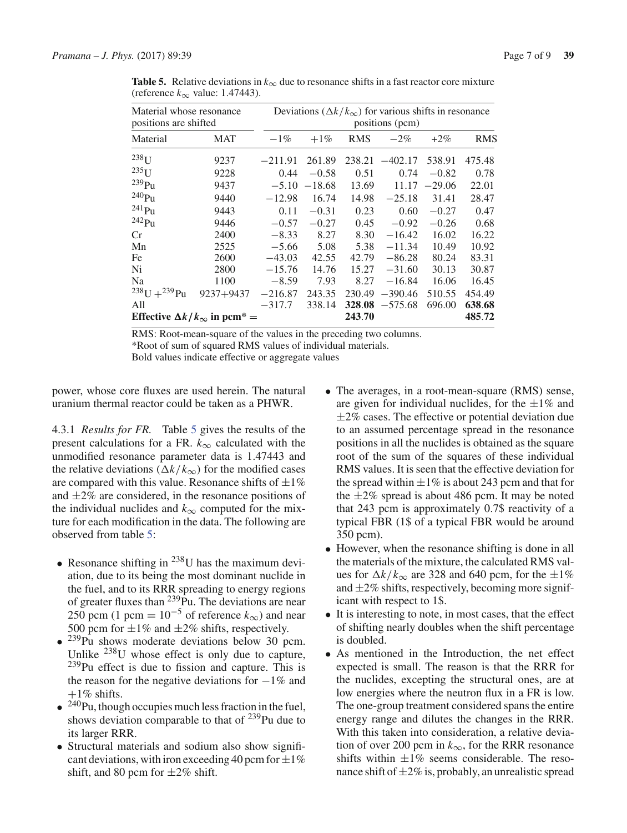| Material whose resonance<br>positions are shifted       |               |           |          | Deviations $(\Delta k / k_{\infty})$ for various shifts in resonance<br>positions (pcm) |           |          |            |
|---------------------------------------------------------|---------------|-----------|----------|-----------------------------------------------------------------------------------------|-----------|----------|------------|
| Material                                                | <b>MAT</b>    | $-1\%$    | $+1\%$   | <b>RMS</b>                                                                              | $-2\%$    | $+2\%$   | <b>RMS</b> |
| $238$ U                                                 | 9237          | $-211.91$ | 261.89   | 238.21                                                                                  | $-402.17$ | 538.91   | 475.48     |
| $235$ U                                                 | 9228          | 0.44      | $-0.58$  | 0.51                                                                                    | 0.74      | $-0.82$  | 0.78       |
| 239 <sub>Pu</sub>                                       | 9437          | $-5.10$   | $-18.68$ | 13.69                                                                                   | 11.17     | $-29.06$ | 22.01      |
| $240$ Pu                                                | 9440          | $-12.98$  | 16.74    | 14.98                                                                                   | $-25.18$  | 31.41    | 28.47      |
| $^{241}$ Pu                                             | 9443          | 0.11      | $-0.31$  | 0.23                                                                                    | 0.60      | $-0.27$  | 0.47       |
| $^{242}\mathrm{Pu}$                                     | 9446          | $-0.57$   | $-0.27$  | 0.45                                                                                    | $-0.92$   | $-0.26$  | 0.68       |
| Cr                                                      | 2400          | $-8.33$   | 8.27     | 8.30                                                                                    | $-16.42$  | 16.02    | 16.22      |
| Mn                                                      | 2525          | $-5.66$   | 5.08     | 5.38                                                                                    | $-11.34$  | 10.49    | 10.92      |
| Fe                                                      | 2600          | $-43.03$  | 42.55    | 42.79                                                                                   | $-86.28$  | 80.24    | 83.31      |
| Ni                                                      | 2800          | $-15.76$  | 14.76    | 15.27                                                                                   | $-31.60$  | 30.13    | 30.87      |
| Na                                                      | 1100          | $-8.59$   | 7.93     | 8.27                                                                                    | $-16.84$  | 16.06    | 16.45      |
| $^{238}$ U + $^{239}$ Pu                                | $9237 + 9437$ | $-216.87$ | 243.35   | 230.49                                                                                  | $-390.46$ | 510.55   | 454.49     |
| All                                                     |               | $-317.7$  | 338.14   | 328.08                                                                                  | $-575.68$ | 696.00   | 638.68     |
| Effective $\Delta k / k_{\infty}$ in pcm <sup>*</sup> = |               |           |          | 243.70                                                                                  |           |          | 485.72     |

**Table 5.** Relative deviations in  $k_{\infty}$  due to resonance shifts in a fast reactor core mixture (reference *k*<sup>∞</sup> value: 1.47443).

RMS: Root-mean-square of the values in the preceding two columns.

\*Root of sum of squared RMS values of individual materials.

Bold values indicate effective or aggregate values

power, whose core fluxes are used herein. The natural uranium thermal reactor could be taken as a PHWR.

4.3.1 *Results for FR.* Table 5 gives the results of the present calculations for a FR.  $k_{\infty}$  calculated with the unmodified resonance parameter data is 1.47443 and the relative deviations ( $\Delta k/k_{\infty}$ ) for the modified cases are compared with this value. Resonance shifts of  $\pm 1\%$ and  $\pm 2\%$  are considered, in the resonance positions of the individual nuclides and  $k_{\infty}$  computed for the mixture for each modification in the data. The following are observed from table 5:

- Resonance shifting in  $^{238}$ U has the maximum deviation, due to its being the most dominant nuclide in the fuel, and to its RRR spreading to energy regions of greater fluxes than  $^{239}$ Pu. The deviations are near 250 pcm (1 pcm =  $10^{-5}$  of reference  $k_{\infty}$ ) and near 500 pcm for  $\pm 1\%$  and  $\pm 2\%$  shifts, respectively.
- <sup>239</sup>Pu shows moderate deviations below 30 pcm. Unlike <sup>238</sup>U whose effect is only due to capture,  $239$ Pu effect is due to fission and capture. This is the reason for the negative deviations for  $-1\%$  and  $+1\%$  shifts.
- $\bullet$  <sup>240</sup>Pu, though occupies much less fraction in the fuel, shows deviation comparable to that of  $^{239}$ Pu due to its larger RRR.
- Structural materials and sodium also show significant deviations, with iron exceeding 40 pcm for  $\pm 1\%$ shift, and 80 pcm for  $\pm 2\%$  shift.
- The averages, in a root-mean-square (RMS) sense, are given for individual nuclides, for the  $\pm 1\%$  and  $\pm$ 2% cases. The effective or potential deviation due to an assumed percentage spread in the resonance positions in all the nuclides is obtained as the square root of the sum of the squares of these individual RMS values. It is seen that the effective deviation for the spread within  $\pm 1\%$  is about 243 pcm and that for the  $\pm 2\%$  spread is about 486 pcm. It may be noted that 243 pcm is approximately 0.7\$ reactivity of a typical FBR (1\$ of a typical FBR would be around 350 pcm).
- However, when the resonance shifting is done in all the materials of the mixture, the calculated RMS values for  $\Delta k / k_{\infty}$  are 328 and 640 pcm, for the  $\pm 1\%$ and  $\pm 2\%$  shifts, respectively, becoming more significant with respect to 1\$.
- It is interesting to note, in most cases, that the effect of shifting nearly doubles when the shift percentage is doubled.
- As mentioned in the Introduction, the net effect expected is small. The reason is that the RRR for the nuclides, excepting the structural ones, are at low energies where the neutron flux in a FR is low. The one-group treatment considered spans the entire energy range and dilutes the changes in the RRR. With this taken into consideration, a relative deviation of over 200 pcm in  $k_{\infty}$ , for the RRR resonance shifts within  $\pm 1\%$  seems considerable. The resonance shift of  $\pm 2\%$  is, probably, an unrealistic spread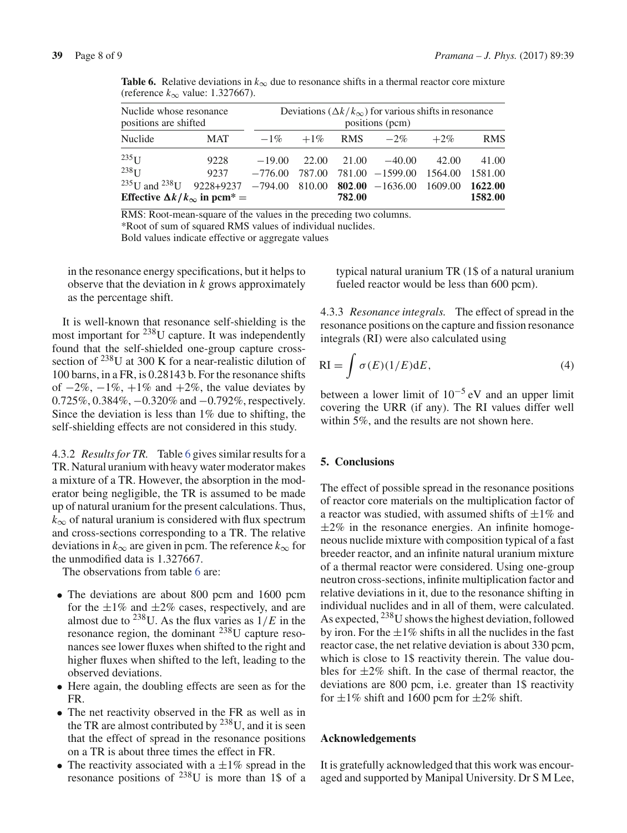| Nuclide whose resonance<br>positions are shifted                                     |                     |           |        | Deviations $(\Delta k / k_{\infty})$ for various shifts in resonance<br>positions (pcm) |                         |                    |            |
|--------------------------------------------------------------------------------------|---------------------|-----------|--------|-----------------------------------------------------------------------------------------|-------------------------|--------------------|------------|
| Nuclide                                                                              | <b>MAT</b>          | $-1\%$    | $+1\%$ |                                                                                         | RMS $-2\%$              | $+2\%$             | <b>RMS</b> |
| $235$ U                                                                              | 9228                | $-19.00$  |        | 22.00 21.00                                                                             | $-40.00$                | 42.00              | 41.00      |
| $238$ U                                                                              | 9237                | $-776.00$ | 787.00 |                                                                                         | 781.00 -1599.00 1564.00 |                    | 1581.00    |
| $^{235}$ U and $^{238}$ U<br>Effective $\Delta k / k_{\infty}$ in pcm <sup>*</sup> = | $9228+9237 -794.00$ | 810.00    | 782.00 | $802.00 - 1636.00$                                                                      | 1609.00                 | 1622.00<br>1582.00 |            |

**Table 6.** Relative deviations in  $k_{\infty}$  due to resonance shifts in a thermal reactor core mixture (reference *k*<sup>∞</sup> value: 1.327667).

RMS: Root-mean-square of the values in the preceding two columns.

\*Root of sum of squared RMS values of individual nuclides.

Bold values indicate effective or aggregate values

in the resonance energy specifications, but it helps to observe that the deviation in *k* grows approximately as the percentage shift.

It is well-known that resonance self-shielding is the most important for 238U capture. It was independently found that the self-shielded one-group capture crosssection of <sup>238</sup>U at 300 K for a near-realistic dilution of 100 barns, in a FR, is 0.28143 b. For the resonance shifts of  $-2\%$ ,  $-1\%$ ,  $+1\%$  and  $+2\%$ , the value deviates by 0.725%, 0.384%, −0.320% and −0.792%, respectively. Since the deviation is less than  $1\%$  due to shifting, the self-shielding effects are not considered in this study.

4.3.2 *Results for TR.* Table 6 gives similar results for a TR. Natural uranium with heavy water moderator makes a mixture of a TR. However, the absorption in the moderator being negligible, the TR is assumed to be made up of natural uranium for the present calculations. Thus, *k*<sup>∞</sup> of natural uranium is considered with flux spectrum and cross-sections corresponding to a TR. The relative deviations in  $k_{\infty}$  are given in pcm. The reference  $k_{\infty}$  for the unmodified data is 1.327667.

The observations from table 6 are:

- The deviations are about 800 pcm and 1600 pcm for the  $\pm 1\%$  and  $\pm 2\%$  cases, respectively, and are almost due to <sup>238</sup>U. As the flux varies as  $1/E$  in the resonance region, the dominant  $^{238}$ U capture resonances see lower fluxes when shifted to the right and higher fluxes when shifted to the left, leading to the observed deviations.
- Here again, the doubling effects are seen as for the FR.
- The net reactivity observed in the FR as well as in the TR are almost contributed by  $238$ U, and it is seen that the effect of spread in the resonance positions on a TR is about three times the effect in FR.
- The reactivity associated with a  $\pm 1\%$  spread in the resonance positions of 238U is more than 1\$ of a

typical natural uranium TR (1\$ of a natural uranium fueled reactor would be less than 600 pcm).

4.3.3 *Resonance integrals.* The effect of spread in the resonance positions on the capture and fission resonance integrals (RI) were also calculated using

$$
RI = \int \sigma(E)(1/E)dE,
$$
\n(4)

between a lower limit of  $10^{-5}$  eV and an upper limit covering the URR (if any). The RI values differ well within 5%, and the results are not shown here.

## **5. Conclusions**

The effect of possible spread in the resonance positions of reactor core materials on the multiplication factor of a reactor was studied, with assumed shifts of  $\pm 1\%$  and  $\pm 2\%$  in the resonance energies. An infinite homogeneous nuclide mixture with composition typical of a fast breeder reactor, and an infinite natural uranium mixture of a thermal reactor were considered. Using one-group neutron cross-sections, infinite multiplication factor and relative deviations in it, due to the resonance shifting in individual nuclides and in all of them, were calculated. As expected, 238U shows the highest deviation, followed by iron. For the  $\pm 1\%$  shifts in all the nuclides in the fast reactor case, the net relative deviation is about 330 pcm, which is close to 1\$ reactivity therein. The value doubles for  $\pm 2\%$  shift. In the case of thermal reactor, the deviations are 800 pcm, i.e. greater than 1\$ reactivity for  $\pm 1\%$  shift and 1600 pcm for  $\pm 2\%$  shift.

#### **Acknowledgements**

It is gratefully acknowledged that this work was encouraged and supported by Manipal University. Dr S M Lee,